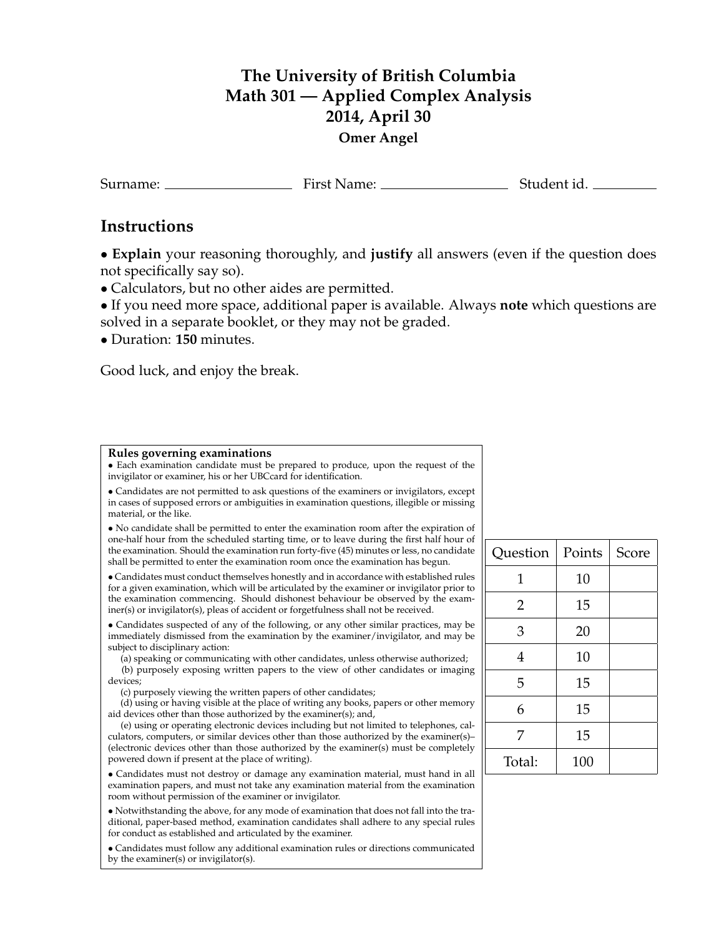## **The University of British Columbia Math 301 — Applied Complex Analysis 2014, April 30 Omer Angel**

Surname: First Name: First Name: Student id.

## **Instructions**

• **Explain** your reasoning thoroughly, and **justify** all answers (even if the question does not specifically say so).

• Calculators, but no other aides are permitted.

• If you need more space, additional paper is available. Always **note** which questions are solved in a separate booklet, or they may not be graded.

• Duration: **150** minutes.

Good luck, and enjoy the break.

## **Rules governing examinations**

• Each examination candidate must be prepared to produce, upon the request of the invigilator or examiner, his or her UBCcard for identification.

• Candidates are not permitted to ask questions of the examiners or invigilators, except in cases of supposed errors or ambiguities in examination questions, illegible or missing material, or the like.

• No candidate shall be permitted to enter the examination room after the expiration of one-half hour from the scheduled starting time, or to leave during the first half hour of the examination. Should the examination run forty-five (45) minutes or less, no candidate shall be permitted to enter the examination room once the examination has begun.

• Candidates must conduct themselves honestly and in accordance with established rules for a given examination, which will be articulated by the examiner or invigilator prior to the examination commencing. Should dishonest behaviour be observed by the examiner(s) or invigilator(s), pleas of accident or forgetfulness shall not be received.

• Candidates suspected of any of the following, or any other similar practices, may be immediately dismissed from the examination by the examiner/invigilator, and may be subject to disciplinary action:

(a) speaking or communicating with other candidates, unless otherwise authorized; (b) purposely exposing written papers to the view of other candidates or imaging devices;

(c) purposely viewing the written papers of other candidates;

(d) using or having visible at the place of writing any books, papers or other memory aid devices other than those authorized by the examiner(s); and,

(e) using or operating electronic devices including but not limited to telephones, calculators, computers, or similar devices other than those authorized by the examiner(s)– (electronic devices other than those authorized by the examiner(s) must be completely powered down if present at the place of writing).

• Candidates must not destroy or damage any examination material, must hand in all examination papers, and must not take any examination material from the examination room without permission of the examiner or invigilator.

• Notwithstanding the above, for any mode of examination that does not fall into the traditional, paper-based method, examination candidates shall adhere to any special rules for conduct as established and articulated by the examiner.

• Candidates must follow any additional examination rules or directions communicated by the examiner(s) or invigilator(s).

| Question | Points | Score |
|----------|--------|-------|
| 1        | 10     |       |
| 2        | 15     |       |
| 3        | 20     |       |
| 4        | 10     |       |
| 5        | 15     |       |
| 6        | 15     |       |
| 7        | 15     |       |
| Total:   | 100    |       |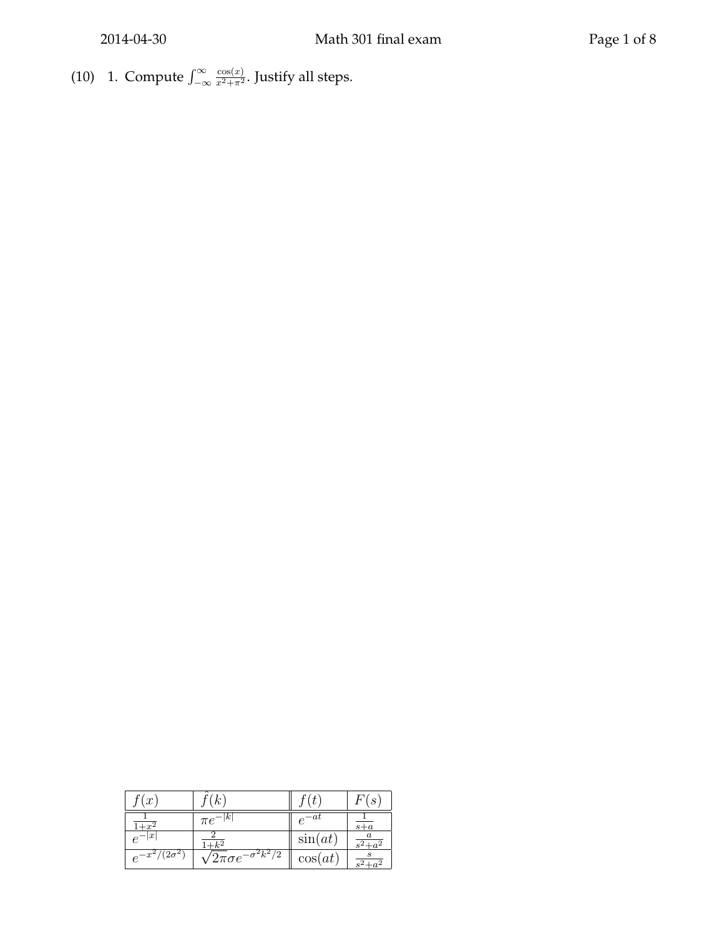(10) 1. Compute  $\int_{-\infty}^{\infty}$  $\cos(x)$  $\frac{\cos(x)}{x^2 + \pi^2}$ . Justify all steps.

| $\boldsymbol{x}$ |                                       |                   | $\boldsymbol{s}$ |
|------------------|---------------------------------------|-------------------|------------------|
|                  | ιĸ<br>$\pi e$                         | -at<br>$\epsilon$ | $s+a$            |
| $\boldsymbol{x}$ |                                       | $\sin(at)$        |                  |
| $e^{-x}$         | $\sqrt{2\pi\sigma}e^{-\sigma^2k^2/2}$ | $\cos(at)$        |                  |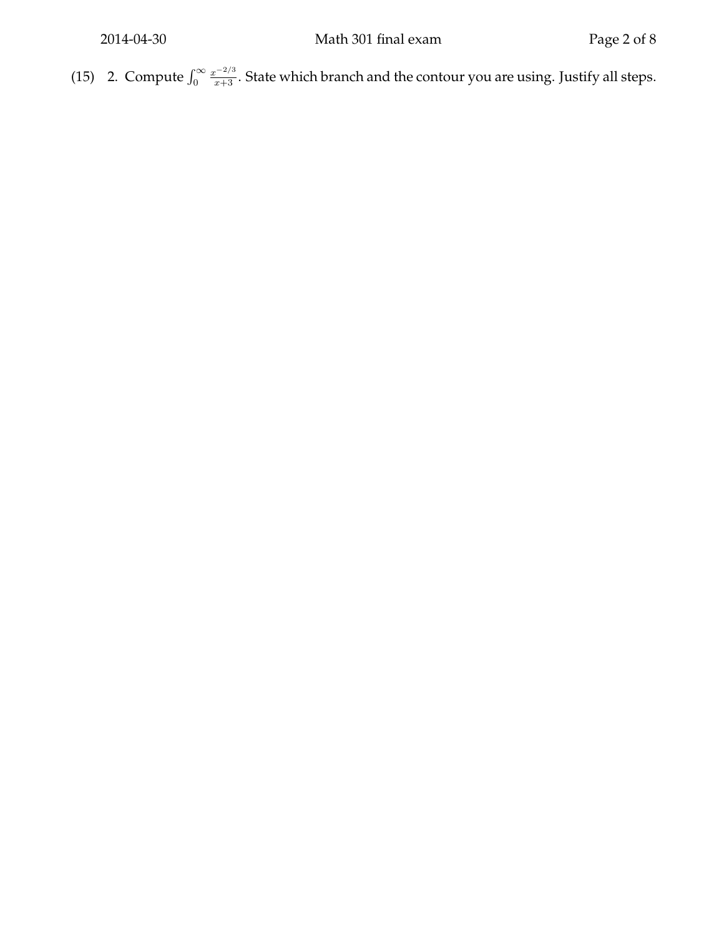(15) 2. Compute  $\int_0^\infty$  $\frac{x^{-2/3}}{x+3}$ . State which branch and the contour you are using. Justify all steps.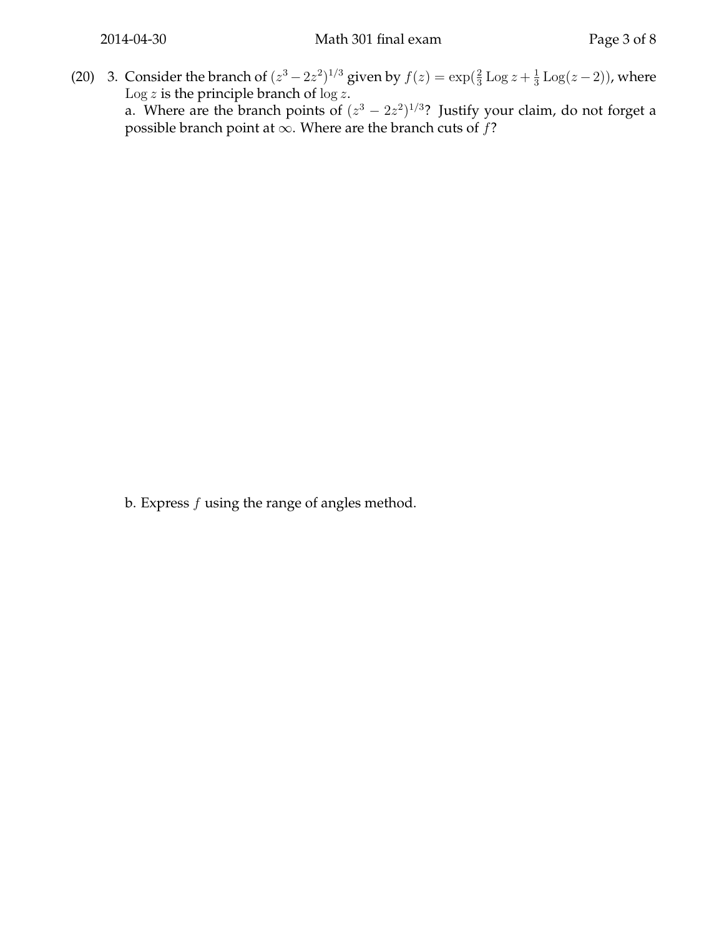(20) 3. Consider the branch of  $(z^3 - 2z^2)^{1/3}$  given by  $f(z) = \exp(\frac{2}{3} \text{Log } z + \frac{1}{3} \text{Log } z)$  $\frac{1}{3}$  Log $(z-2)$ ), where Log z is the principle branch of  $\log z$ . a. Where are the branch points of  $(z^3 - 2z^2)^{1/3}$ ? Justify your claim, do not forget a possible branch point at  $\infty$ . Where are the branch cuts of f?

b. Express  $f$  using the range of angles method.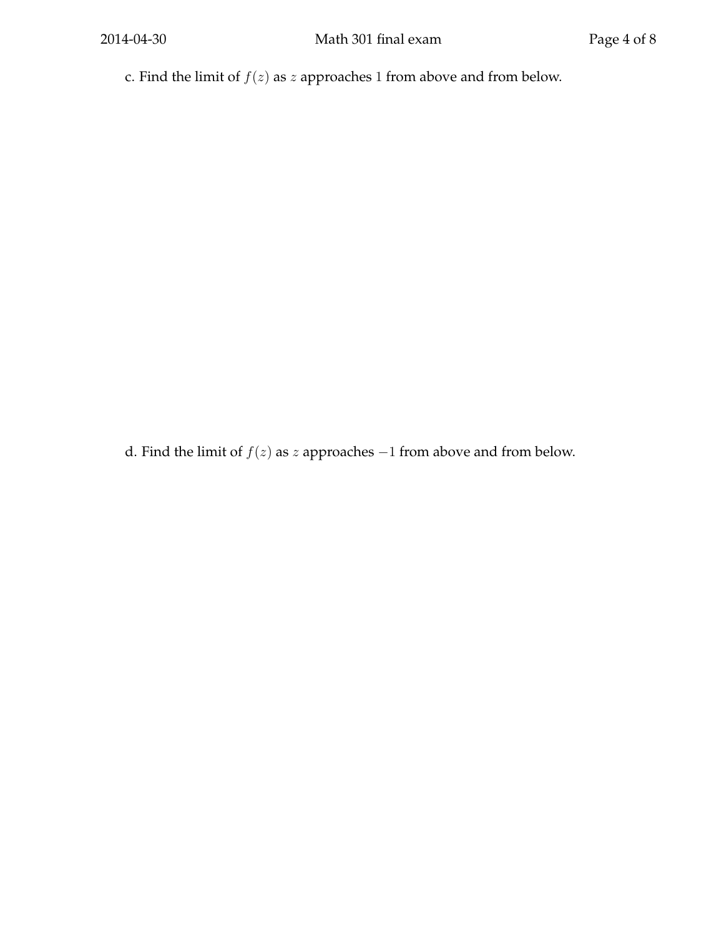c. Find the limit of  $f(z)$  as  $\boldsymbol{z}$  approaches 1 from above and from below.

d. Find the limit of  $f(z)$  as  $z$  approaches  $-1$  from above and from below.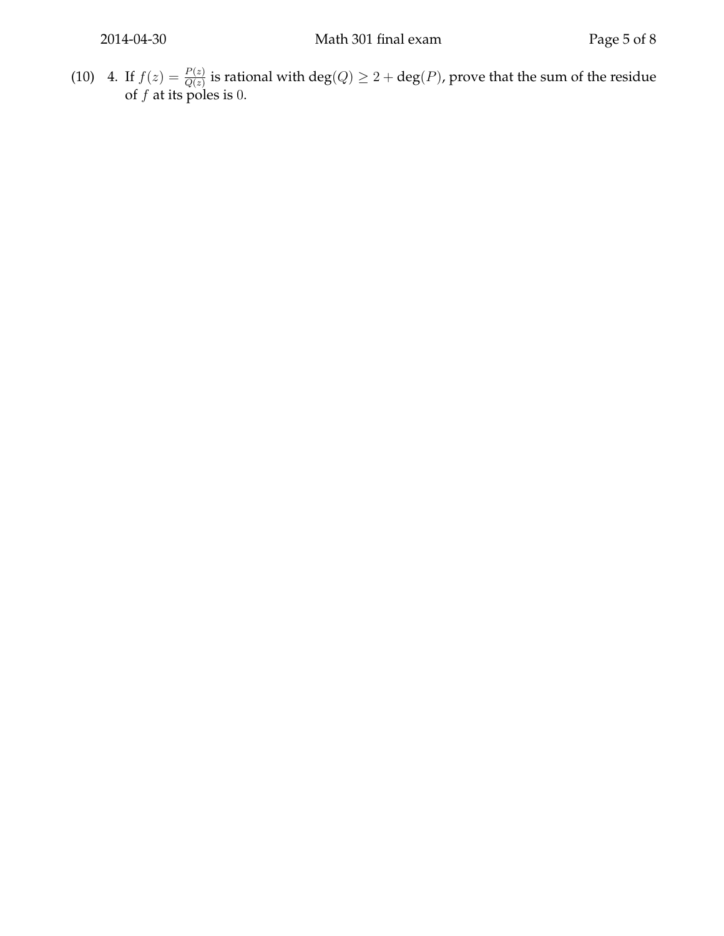(10) 4. If  $f(z) = \frac{P(z)}{Q(z)}$  is rational with  $deg(Q) \geq 2 + deg(P)$ , prove that the sum of the residue of  $f$  at its poles is 0.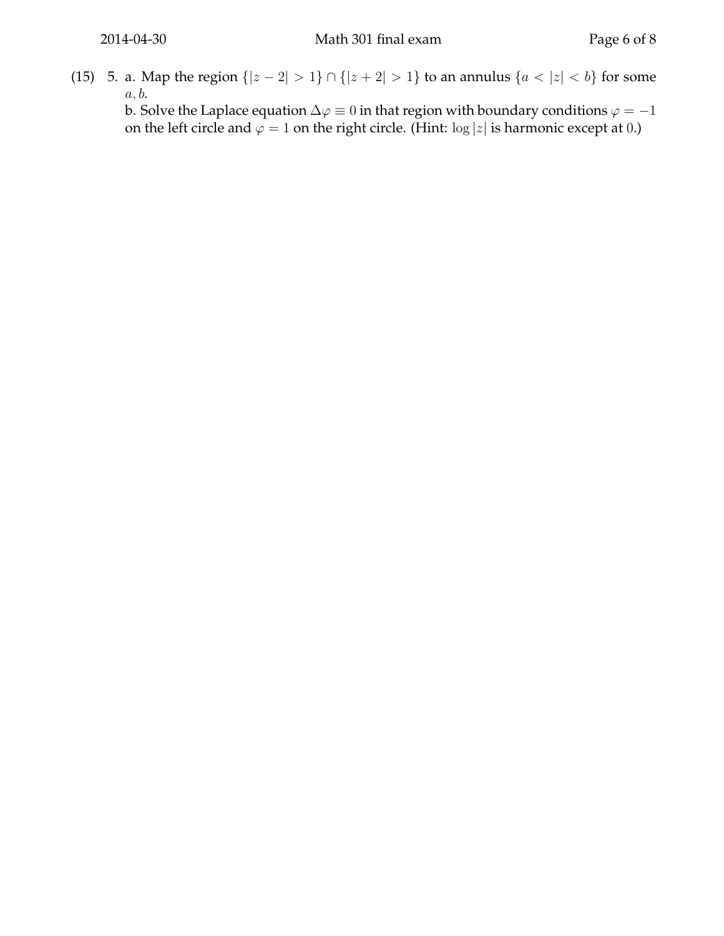(15) 5. a. Map the region  $\{|z - 2| > 1\} \cap \{|z + 2| > 1\}$  to an annulus  $\{a < |z| < b\}$  for some  $a, b.$ 

b. Solve the Laplace equation  $\Delta \varphi \equiv 0$  in that region with boundary conditions  $\varphi = -1$ on the left circle and  $\varphi = 1$  on the right circle. (Hint: log  $|z|$  is harmonic except at 0.)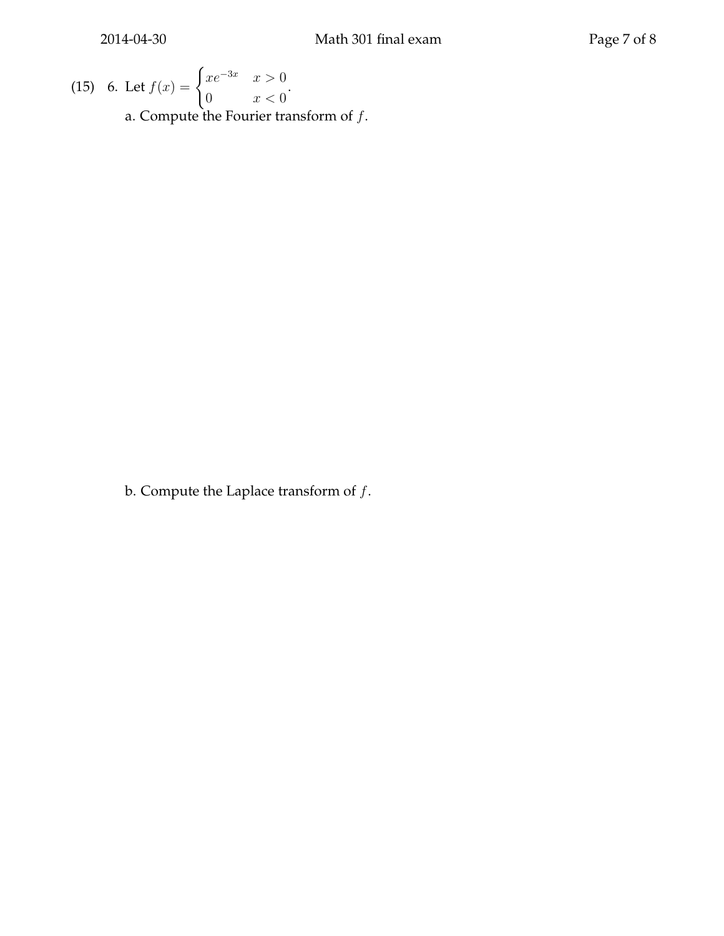(15) 6. Let 
$$
f(x) = \begin{cases} xe^{-3x} & x > 0 \\ 0 & x < 0 \end{cases}
$$
.  
a. Compute the Fourier transform of *f*.

b. Compute the Laplace transform of  $f$ .